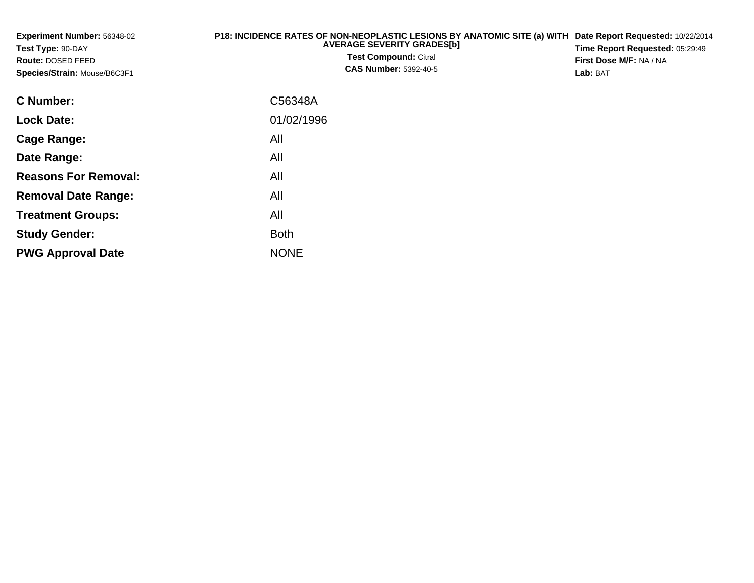| Experiment Number: 56348-02<br>Test Type: 90-DAY<br><b>Route: DOSED FEED</b><br>Species/Strain: Mouse/B6C3F1 | P18: INCIDENCE RATES OF NON-NEOPLASTIC LESIONS BY ANATOMIC SITE (a) WITH<br><b>AVERAGE SEVERITY GRADES[b]</b><br><b>Test Compound: Citral</b><br><b>CAS Number: 5392-40-5</b> | Date Report Requested: 10/22/2014<br>Time Report Requested: 05:29:49<br>First Dose M/F: NA / NA<br>Lab: BAT |
|--------------------------------------------------------------------------------------------------------------|-------------------------------------------------------------------------------------------------------------------------------------------------------------------------------|-------------------------------------------------------------------------------------------------------------|
| <b>C</b> Number:                                                                                             | C56348A                                                                                                                                                                       |                                                                                                             |
| <b>Lock Date:</b>                                                                                            | 01/02/1996                                                                                                                                                                    |                                                                                                             |
| <b>Cage Range:</b>                                                                                           | All                                                                                                                                                                           |                                                                                                             |
| Date Range:                                                                                                  | All                                                                                                                                                                           |                                                                                                             |
| <b>Reasons For Removal:</b>                                                                                  | All                                                                                                                                                                           |                                                                                                             |
| <b>Removal Date Range:</b>                                                                                   | All                                                                                                                                                                           |                                                                                                             |
| <b>Treatment Groups:</b>                                                                                     | All                                                                                                                                                                           |                                                                                                             |
| <b>Study Gender:</b>                                                                                         | <b>Both</b>                                                                                                                                                                   |                                                                                                             |
| <b>PWG Approval Date</b>                                                                                     | <b>NONE</b>                                                                                                                                                                   |                                                                                                             |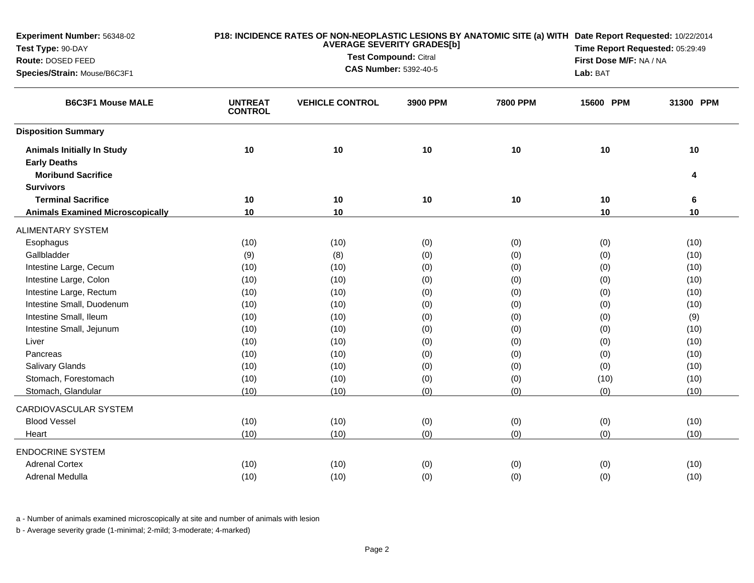| Experiment Number: 56348-02             | P18: INCIDENCE RATES OF NON-NEOPLASTIC LESIONS BY ANATOMIC SITE (a) WITH Date Report Requested: 10/22/2014<br><b>AVERAGE SEVERITY GRADES[b]</b> |                        |                              |                 | Time Report Requested: 05:29:49 |           |
|-----------------------------------------|-------------------------------------------------------------------------------------------------------------------------------------------------|------------------------|------------------------------|-----------------|---------------------------------|-----------|
| Test Type: 90-DAY                       |                                                                                                                                                 |                        | Test Compound: Citral        |                 | First Dose M/F: NA / NA         |           |
| Route: DOSED FEED                       |                                                                                                                                                 |                        | <b>CAS Number: 5392-40-5</b> |                 |                                 |           |
| Species/Strain: Mouse/B6C3F1            |                                                                                                                                                 |                        | Lab: BAT                     |                 |                                 |           |
| <b>B6C3F1 Mouse MALE</b>                | <b>UNTREAT</b><br><b>CONTROL</b>                                                                                                                | <b>VEHICLE CONTROL</b> | 3900 PPM                     | <b>7800 PPM</b> | 15600 PPM                       | 31300 PPM |
| <b>Disposition Summary</b>              |                                                                                                                                                 |                        |                              |                 |                                 |           |
| <b>Animals Initially In Study</b>       | 10                                                                                                                                              | 10                     | 10                           | 10              | 10                              | 10        |
| <b>Early Deaths</b>                     |                                                                                                                                                 |                        |                              |                 |                                 |           |
| <b>Moribund Sacrifice</b>               |                                                                                                                                                 |                        |                              |                 |                                 | 4         |
| <b>Survivors</b>                        |                                                                                                                                                 |                        |                              |                 |                                 |           |
| <b>Terminal Sacrifice</b>               | 10                                                                                                                                              | 10                     | 10                           | 10              | 10                              | 6         |
| <b>Animals Examined Microscopically</b> | 10                                                                                                                                              | 10                     |                              |                 | 10                              | 10        |
| <b>ALIMENTARY SYSTEM</b>                |                                                                                                                                                 |                        |                              |                 |                                 |           |
| Esophagus                               | (10)                                                                                                                                            | (10)                   | (0)                          | (0)             | (0)                             | (10)      |
| Gallbladder                             | (9)                                                                                                                                             | (8)                    | (0)                          | (0)             | (0)                             | (10)      |
| Intestine Large, Cecum                  | (10)                                                                                                                                            | (10)                   | (0)                          | (0)             | (0)                             | (10)      |
| Intestine Large, Colon                  | (10)                                                                                                                                            | (10)                   | (0)                          | (0)             | (0)                             | (10)      |
| Intestine Large, Rectum                 | (10)                                                                                                                                            | (10)                   | (0)                          | (0)             | (0)                             | (10)      |
| Intestine Small, Duodenum               | (10)                                                                                                                                            | (10)                   | (0)                          | (0)             | (0)                             | (10)      |
| Intestine Small, Ileum                  | (10)                                                                                                                                            | (10)                   | (0)                          | (0)             | (0)                             | (9)       |
| Intestine Small, Jejunum                | (10)                                                                                                                                            | (10)                   | (0)                          | (0)             | (0)                             | (10)      |
| Liver                                   | (10)                                                                                                                                            | (10)                   | (0)                          | (0)             | (0)                             | (10)      |
| Pancreas                                | (10)                                                                                                                                            | (10)                   | (0)                          | (0)             | (0)                             | (10)      |
| Salivary Glands                         | (10)                                                                                                                                            | (10)                   | (0)                          | (0)             | (0)                             | (10)      |
| Stomach, Forestomach                    | (10)                                                                                                                                            | (10)                   | (0)                          | (0)             | (10)                            | (10)      |
| Stomach, Glandular                      | (10)                                                                                                                                            | (10)                   | (0)                          | (0)             | (0)                             | (10)      |
| CARDIOVASCULAR SYSTEM                   |                                                                                                                                                 |                        |                              |                 |                                 |           |
| <b>Blood Vessel</b>                     | (10)                                                                                                                                            | (10)                   | (0)                          | (0)             | (0)                             | (10)      |
| Heart                                   | (10)                                                                                                                                            | (10)                   | (0)                          | (0)             | (0)                             | (10)      |
| <b>ENDOCRINE SYSTEM</b>                 |                                                                                                                                                 |                        |                              |                 |                                 |           |
| <b>Adrenal Cortex</b>                   | (10)                                                                                                                                            | (10)                   | (0)                          | (0)             | (0)                             | (10)      |
| Adrenal Medulla                         | (10)                                                                                                                                            | (10)                   | (0)                          | (0)             | (0)                             | (10)      |

a - Number of animals examined microscopically at site and number of animals with lesion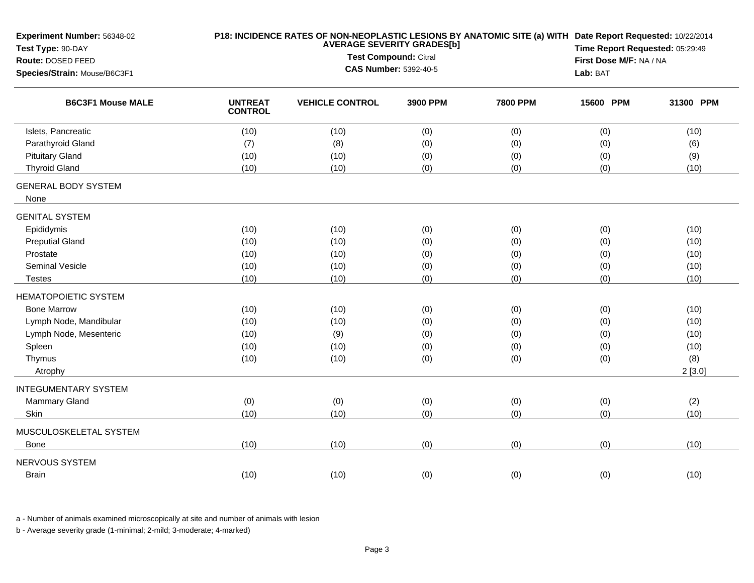| Experiment Number: 56348-02<br>Test Type: 90-DAY<br>Route: DOSED FEED<br>Species/Strain: Mouse/B6C3F1 | P18: INCIDENCE RATES OF NON-NEOPLASTIC LESIONS BY ANATOMIC SITE (a) WITH Date Report Requested: 10/22/2014<br><b>AVERAGE SEVERITY GRADES[b]</b><br>Test Compound: Citral<br><b>CAS Number: 5392-40-5</b> |                        |          |                 | Time Report Requested: 05:29:49<br>First Dose M/F: NA / NA<br>Lab: BAT |           |
|-------------------------------------------------------------------------------------------------------|----------------------------------------------------------------------------------------------------------------------------------------------------------------------------------------------------------|------------------------|----------|-----------------|------------------------------------------------------------------------|-----------|
| <b>B6C3F1 Mouse MALE</b>                                                                              | <b>UNTREAT</b><br><b>CONTROL</b>                                                                                                                                                                         | <b>VEHICLE CONTROL</b> | 3900 PPM | <b>7800 PPM</b> | 15600 PPM                                                              | 31300 PPM |
| Islets, Pancreatic                                                                                    | (10)                                                                                                                                                                                                     | (10)                   | (0)      | (0)             | (0)                                                                    | (10)      |
| Parathyroid Gland                                                                                     | (7)                                                                                                                                                                                                      | (8)                    | (0)      | (0)             | (0)                                                                    | (6)       |
| <b>Pituitary Gland</b>                                                                                | (10)                                                                                                                                                                                                     | (10)                   | (0)      | (0)             | (0)                                                                    | (9)       |
| <b>Thyroid Gland</b>                                                                                  | (10)                                                                                                                                                                                                     | (10)                   | (0)      | (0)             | (0)                                                                    | (10)      |
| <b>GENERAL BODY SYSTEM</b><br>None                                                                    |                                                                                                                                                                                                          |                        |          |                 |                                                                        |           |
| <b>GENITAL SYSTEM</b>                                                                                 |                                                                                                                                                                                                          |                        |          |                 |                                                                        |           |
| Epididymis                                                                                            | (10)                                                                                                                                                                                                     | (10)                   | (0)      | (0)             | (0)                                                                    | (10)      |
| <b>Preputial Gland</b>                                                                                | (10)                                                                                                                                                                                                     | (10)                   | (0)      | (0)             | (0)                                                                    | (10)      |
| Prostate                                                                                              | (10)                                                                                                                                                                                                     | (10)                   | (0)      | (0)             | (0)                                                                    | (10)      |
| Seminal Vesicle                                                                                       | (10)                                                                                                                                                                                                     | (10)                   | (0)      | (0)             | (0)                                                                    | (10)      |
| <b>Testes</b>                                                                                         | (10)                                                                                                                                                                                                     | (10)                   | (0)      | (0)             | (0)                                                                    | (10)      |
| <b>HEMATOPOIETIC SYSTEM</b>                                                                           |                                                                                                                                                                                                          |                        |          |                 |                                                                        |           |
| <b>Bone Marrow</b>                                                                                    | (10)                                                                                                                                                                                                     | (10)                   | (0)      | (0)             | (0)                                                                    | (10)      |
| Lymph Node, Mandibular                                                                                | (10)                                                                                                                                                                                                     | (10)                   | (0)      | (0)             | (0)                                                                    | (10)      |
| Lymph Node, Mesenteric                                                                                | (10)                                                                                                                                                                                                     | (9)                    | (0)      | (0)             | (0)                                                                    | (10)      |
| Spleen                                                                                                | (10)                                                                                                                                                                                                     | (10)                   | (0)      | (0)             | (0)                                                                    | (10)      |
| Thymus                                                                                                | (10)                                                                                                                                                                                                     | (10)                   | (0)      | (0)             | (0)                                                                    | (8)       |
| Atrophy                                                                                               |                                                                                                                                                                                                          |                        |          |                 |                                                                        | 2[3.0]    |
| <b>INTEGUMENTARY SYSTEM</b>                                                                           |                                                                                                                                                                                                          |                        |          |                 |                                                                        |           |
| <b>Mammary Gland</b>                                                                                  | (0)                                                                                                                                                                                                      | (0)                    | (0)      | (0)             | (0)                                                                    | (2)       |
| Skin                                                                                                  | (10)                                                                                                                                                                                                     | (10)                   | (0)      | (0)             | (0)                                                                    | (10)      |
| MUSCULOSKELETAL SYSTEM<br><b>Bone</b>                                                                 | (10)                                                                                                                                                                                                     | (10)                   | (0)      | (0)             | (0)                                                                    | (10)      |
|                                                                                                       |                                                                                                                                                                                                          |                        |          |                 |                                                                        |           |
| NERVOUS SYSTEM                                                                                        |                                                                                                                                                                                                          |                        |          |                 |                                                                        |           |
| <b>Brain</b>                                                                                          | (10)                                                                                                                                                                                                     | (10)                   | (0)      | (0)             | (0)                                                                    | (10)      |

a - Number of animals examined microscopically at site and number of animals with lesion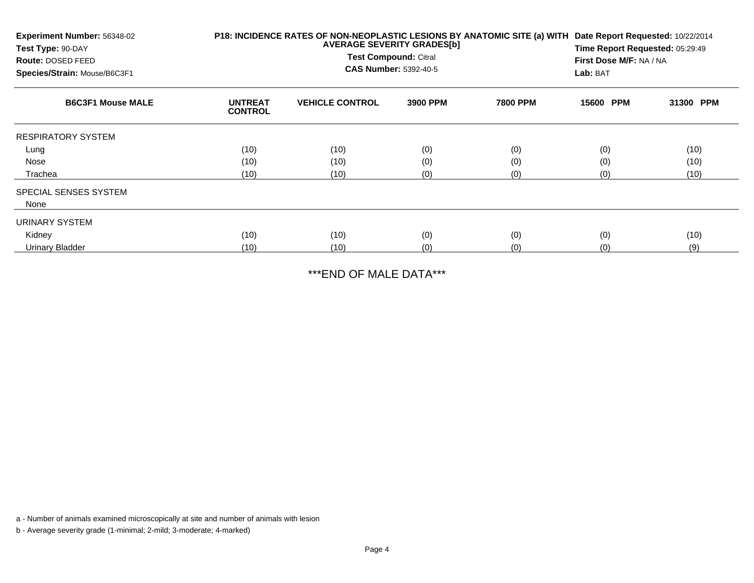| Experiment Number: 56348-02<br>Test Type: 90-DAY<br>Route: DOSED FEED<br>Species/Strain: Mouse/B6C3F1 |                                  | P18: INCIDENCE RATES OF NON-NEOPLASTIC LESIONS BY ANATOMIC SITE (a) WITH<br><b>AVERAGE SEVERITY GRADES[b]</b><br>Test Compound: Citral<br><b>CAS Number: 5392-40-5</b> | Date Report Requested: 10/22/2014<br>Time Report Requested: 05:29:49<br>First Dose M/F: NA / NA<br>Lab: BAT |                 |           |           |
|-------------------------------------------------------------------------------------------------------|----------------------------------|------------------------------------------------------------------------------------------------------------------------------------------------------------------------|-------------------------------------------------------------------------------------------------------------|-----------------|-----------|-----------|
| <b>B6C3F1 Mouse MALE</b>                                                                              | <b>UNTREAT</b><br><b>CONTROL</b> | <b>VEHICLE CONTROL</b>                                                                                                                                                 | 3900 PPM                                                                                                    | <b>7800 PPM</b> | 15600 PPM | 31300 PPM |
| <b>RESPIRATORY SYSTEM</b>                                                                             |                                  |                                                                                                                                                                        |                                                                                                             |                 |           |           |
| Lung                                                                                                  | (10)                             | (10)                                                                                                                                                                   | (0)                                                                                                         | (0)             | (0)       | (10)      |
| Nose                                                                                                  | (10)                             | (10)                                                                                                                                                                   | (0)                                                                                                         | (0)             | (0)       | (10)      |
| Trachea                                                                                               | (10)                             | (10)                                                                                                                                                                   | (0)                                                                                                         | (0)             | (0)       | (10)      |
| SPECIAL SENSES SYSTEM                                                                                 |                                  |                                                                                                                                                                        |                                                                                                             |                 |           |           |
| None                                                                                                  |                                  |                                                                                                                                                                        |                                                                                                             |                 |           |           |
| URINARY SYSTEM                                                                                        |                                  |                                                                                                                                                                        |                                                                                                             |                 |           |           |
| Kidney                                                                                                | (10)                             | (10)                                                                                                                                                                   | (0)                                                                                                         | (0)             | (0)       | (10)      |
| <b>Urinary Bladder</b>                                                                                | (10)                             | (10)                                                                                                                                                                   | (0)                                                                                                         | (0)             | (0)       | (9)       |

\*\*\*END OF MALE DATA\*\*\*

a - Number of animals examined microscopically at site and number of animals with lesion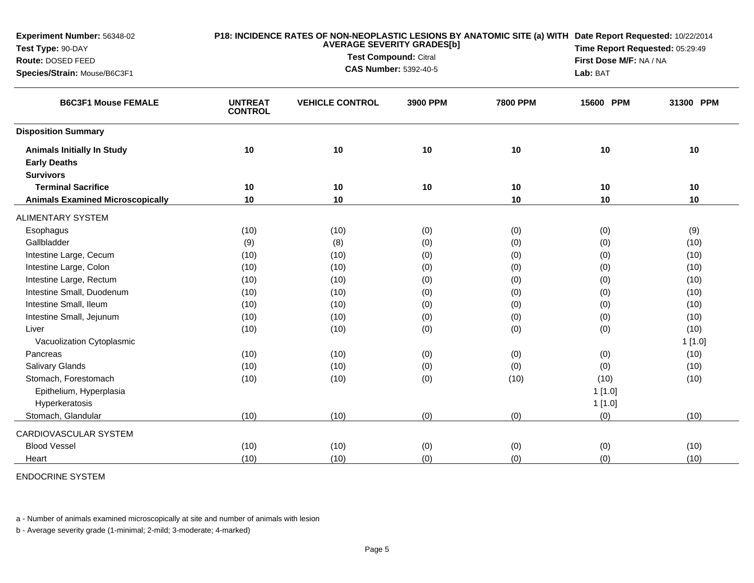| Experiment Number: 56348-02             |                                  | <b>AVERAGE SEVERITY GRADES[b]</b> |                                 |                 |                         | P18: INCIDENCE RATES OF NON-NEOPLASTIC LESIONS BY ANATOMIC SITE (a) WITH Date Report Requested: 10/22/2014 |  |  |
|-----------------------------------------|----------------------------------|-----------------------------------|---------------------------------|-----------------|-------------------------|------------------------------------------------------------------------------------------------------------|--|--|
| Test Type: 90-DAY                       |                                  | <b>Test Compound: Citral</b>      | Time Report Requested: 05:29:49 |                 |                         |                                                                                                            |  |  |
| Route: DOSED FEED                       |                                  |                                   | <b>CAS Number: 5392-40-5</b>    |                 | First Dose M/F: NA / NA |                                                                                                            |  |  |
| Species/Strain: Mouse/B6C3F1            |                                  |                                   |                                 |                 | Lab: BAT                |                                                                                                            |  |  |
| <b>B6C3F1 Mouse FEMALE</b>              | <b>UNTREAT</b><br><b>CONTROL</b> | <b>VEHICLE CONTROL</b>            | 3900 PPM                        | <b>7800 PPM</b> | 15600 PPM               | 31300 PPM                                                                                                  |  |  |
| <b>Disposition Summary</b>              |                                  |                                   |                                 |                 |                         |                                                                                                            |  |  |
| <b>Animals Initially In Study</b>       | 10                               | 10                                | 10                              | 10              | 10                      | 10                                                                                                         |  |  |
| <b>Early Deaths</b>                     |                                  |                                   |                                 |                 |                         |                                                                                                            |  |  |
| <b>Survivors</b>                        |                                  |                                   |                                 |                 |                         |                                                                                                            |  |  |
| <b>Terminal Sacrifice</b>               | 10                               | 10                                | 10                              | 10              | 10                      | 10                                                                                                         |  |  |
| <b>Animals Examined Microscopically</b> | 10                               | 10                                |                                 | 10              | 10                      | 10                                                                                                         |  |  |
| <b>ALIMENTARY SYSTEM</b>                |                                  |                                   |                                 |                 |                         |                                                                                                            |  |  |
| Esophagus                               | (10)                             | (10)                              | (0)                             | (0)             | (0)                     | (9)                                                                                                        |  |  |
| Gallbladder                             | (9)                              | (8)                               | (0)                             | (0)             | (0)                     | (10)                                                                                                       |  |  |
| Intestine Large, Cecum                  | (10)                             | (10)                              | (0)                             | (0)             | (0)                     | (10)                                                                                                       |  |  |
| Intestine Large, Colon                  | (10)                             | (10)                              | (0)                             | (0)             | (0)                     | (10)                                                                                                       |  |  |
| Intestine Large, Rectum                 | (10)                             | (10)                              | (0)                             | (0)             | (0)                     | (10)                                                                                                       |  |  |
| Intestine Small, Duodenum               | (10)                             | (10)                              | (0)                             | (0)             | (0)                     | (10)                                                                                                       |  |  |
| Intestine Small, Ileum                  | (10)                             | (10)                              | (0)                             | (0)             | (0)                     | (10)                                                                                                       |  |  |
| Intestine Small, Jejunum                | (10)                             | (10)                              | (0)                             | (0)             | (0)                     | (10)                                                                                                       |  |  |
| Liver                                   | (10)                             | (10)                              | (0)                             | (0)             | (0)                     | (10)                                                                                                       |  |  |
| Vacuolization Cytoplasmic               |                                  |                                   |                                 |                 |                         | 1[1.0]                                                                                                     |  |  |
| Pancreas                                | (10)                             | (10)                              | (0)                             | (0)             | (0)                     | (10)                                                                                                       |  |  |
| <b>Salivary Glands</b>                  | (10)                             | (10)                              | (0)                             | (0)             | (0)                     | (10)                                                                                                       |  |  |
| Stomach, Forestomach                    | (10)                             | (10)                              | (0)                             | (10)            | (10)                    | (10)                                                                                                       |  |  |
| Epithelium, Hyperplasia                 |                                  |                                   |                                 |                 | 1[1.0]                  |                                                                                                            |  |  |
| Hyperkeratosis                          |                                  |                                   |                                 |                 | 1[1.0]                  |                                                                                                            |  |  |
| Stomach, Glandular                      | (10)                             | (10)                              | (0)                             | (0)             | (0)                     | (10)                                                                                                       |  |  |
| CARDIOVASCULAR SYSTEM                   |                                  |                                   |                                 |                 |                         |                                                                                                            |  |  |
| <b>Blood Vessel</b>                     | (10)                             | (10)                              | (0)                             | (0)             | (0)                     | (10)                                                                                                       |  |  |
| Heart                                   | (10)                             | (10)                              | (0)                             | (0)             | (0)                     | (10)                                                                                                       |  |  |

ENDOCRINE SYSTEM

a - Number of animals examined microscopically at site and number of animals with lesion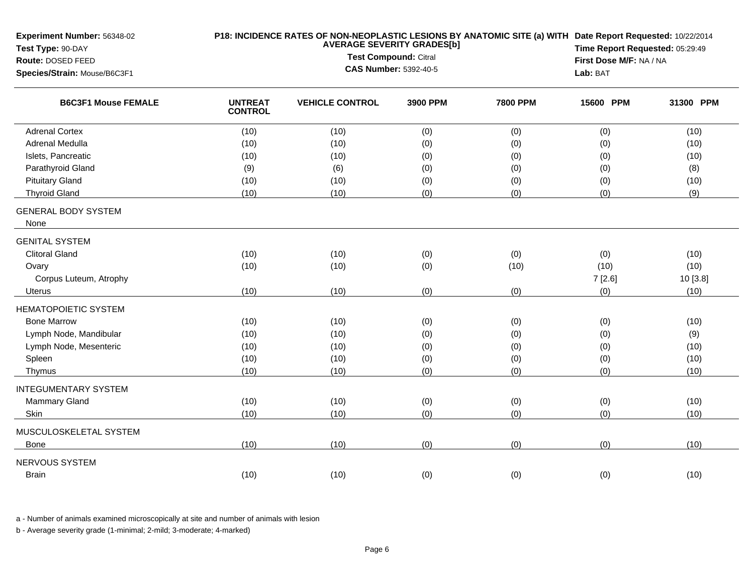| Experiment Number: 56348-02<br>Test Type: 90-DAY<br>Route: DOSED FEED<br>Species/Strain: Mouse/B6C3F1 | P18: INCIDENCE RATES OF NON-NEOPLASTIC LESIONS BY ANATOMIC SITE (a) WITH Date Report Requested: 10/22/2014<br><b>AVERAGE SEVERITY GRADES[b]</b><br><b>Test Compound: Citral</b><br><b>CAS Number: 5392-40-5</b> |                        |          |                 | Time Report Requested: 05:29:49<br>First Dose M/F: NA / NA<br>Lab: BAT |           |
|-------------------------------------------------------------------------------------------------------|-----------------------------------------------------------------------------------------------------------------------------------------------------------------------------------------------------------------|------------------------|----------|-----------------|------------------------------------------------------------------------|-----------|
| <b>B6C3F1 Mouse FEMALE</b>                                                                            | <b>UNTREAT</b><br><b>CONTROL</b>                                                                                                                                                                                | <b>VEHICLE CONTROL</b> | 3900 PPM | <b>7800 PPM</b> | 15600 PPM                                                              | 31300 PPM |
| <b>Adrenal Cortex</b>                                                                                 | (10)                                                                                                                                                                                                            | (10)                   | (0)      | (0)             | (0)                                                                    | (10)      |
| Adrenal Medulla                                                                                       | (10)                                                                                                                                                                                                            | (10)                   | (0)      | (0)             | (0)                                                                    | (10)      |
| Islets, Pancreatic                                                                                    | (10)                                                                                                                                                                                                            | (10)                   | (0)      | (0)             | (0)                                                                    | (10)      |
| Parathyroid Gland                                                                                     | (9)                                                                                                                                                                                                             | (6)                    | (0)      | (0)             | (0)                                                                    | (8)       |
| <b>Pituitary Gland</b>                                                                                | (10)                                                                                                                                                                                                            | (10)                   | (0)      | (0)             | (0)                                                                    | (10)      |
| <b>Thyroid Gland</b>                                                                                  | (10)                                                                                                                                                                                                            | (10)                   | (0)      | (0)             | (0)                                                                    | (9)       |
| <b>GENERAL BODY SYSTEM</b><br>None                                                                    |                                                                                                                                                                                                                 |                        |          |                 |                                                                        |           |
| <b>GENITAL SYSTEM</b>                                                                                 |                                                                                                                                                                                                                 |                        |          |                 |                                                                        |           |
| <b>Clitoral Gland</b>                                                                                 | (10)                                                                                                                                                                                                            | (10)                   | (0)      | (0)             | (0)                                                                    | (10)      |
| Ovary                                                                                                 | (10)                                                                                                                                                                                                            | (10)                   | (0)      | (10)            | (10)                                                                   | (10)      |
| Corpus Luteum, Atrophy                                                                                |                                                                                                                                                                                                                 |                        |          |                 | 7[2.6]                                                                 | 10 [3.8]  |
| <b>Uterus</b>                                                                                         | (10)                                                                                                                                                                                                            | (10)                   | (0)      | (0)             | (0)                                                                    | (10)      |
| <b>HEMATOPOIETIC SYSTEM</b>                                                                           |                                                                                                                                                                                                                 |                        |          |                 |                                                                        |           |
| <b>Bone Marrow</b>                                                                                    | (10)                                                                                                                                                                                                            | (10)                   | (0)      | (0)             | (0)                                                                    | (10)      |
| Lymph Node, Mandibular                                                                                | (10)                                                                                                                                                                                                            | (10)                   | (0)      | (0)             | (0)                                                                    | (9)       |
| Lymph Node, Mesenteric                                                                                | (10)                                                                                                                                                                                                            | (10)                   | (0)      | (0)             | (0)                                                                    | (10)      |
| Spleen                                                                                                | (10)                                                                                                                                                                                                            | (10)                   | (0)      | (0)             | (0)                                                                    | (10)      |
| Thymus                                                                                                | (10)                                                                                                                                                                                                            | (10)                   | (0)      | (0)             | (0)                                                                    | (10)      |
| <b>INTEGUMENTARY SYSTEM</b>                                                                           |                                                                                                                                                                                                                 |                        |          |                 |                                                                        |           |
| <b>Mammary Gland</b>                                                                                  | (10)                                                                                                                                                                                                            | (10)                   | (0)      | (0)             | (0)                                                                    | (10)      |
| Skin                                                                                                  | (10)                                                                                                                                                                                                            | (10)                   | (0)      | (0)             | (0)                                                                    | (10)      |
| MUSCULOSKELETAL SYSTEM                                                                                |                                                                                                                                                                                                                 |                        |          |                 |                                                                        |           |
| Bone                                                                                                  | (10)                                                                                                                                                                                                            | (10)                   | (0)      | (0)             | (0)                                                                    | (10)      |
| NERVOUS SYSTEM                                                                                        |                                                                                                                                                                                                                 |                        |          |                 |                                                                        |           |
| <b>Brain</b>                                                                                          | (10)                                                                                                                                                                                                            | (10)                   | (0)      | (0)             | (0)                                                                    | (10)      |
|                                                                                                       |                                                                                                                                                                                                                 |                        |          |                 |                                                                        |           |

a - Number of animals examined microscopically at site and number of animals with lesion